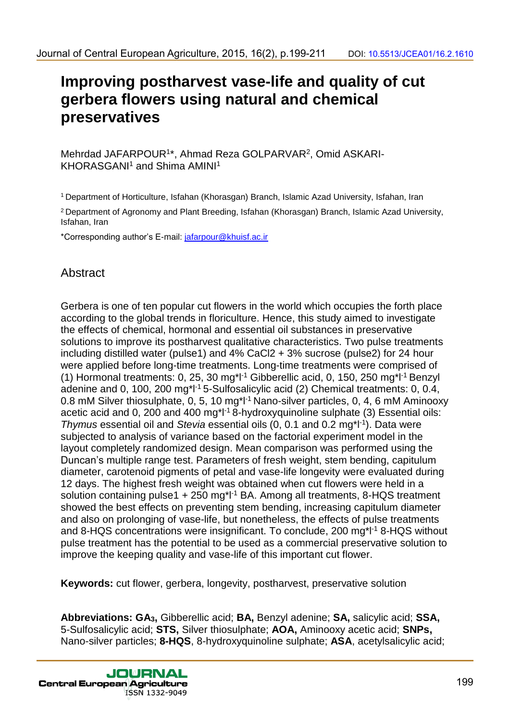# **Improving postharvest vase-life and quality of cut gerbera flowers using natural and chemical preservatives**

Mehrdad JAFARPOUR<sup>1\*</sup>, Ahmad Reza GOLPARVAR<sup>2</sup>, Omid ASKARI-KHORASGANI<sup>1</sup> and Shima AMINI<sup>1</sup>

<sup>1</sup> Department of Horticulture, Isfahan (Khorasgan) Branch, Islamic Azad University, Isfahan, Iran

<sup>2</sup> Department of Agronomy and Plant Breeding, Isfahan (Khorasgan) Branch, Islamic Azad University, Isfahan, Iran

\*Corresponding author's E-mail: jafarpour@khuisf.ac.ir

# **Abstract**

Gerbera is one of ten popular cut flowers in the world which occupies the forth place according to the global trends in floriculture. Hence, this study aimed to investigate the effects of chemical, hormonal and essential oil substances in preservative solutions to improve its postharvest qualitative characteristics. Two pulse treatments including distilled water (pulse1) and 4% CaCl2 + 3% sucrose (pulse2) for 24 hour were applied before long-time treatments. Long-time treatments were comprised of (1) Hormonal treatments: 0, 25, 30 mg\*l<sup>-1</sup> Gibberellic acid, 0, 150, 250 mg\*l<sup>-1</sup> Benzyl adenine and 0, 100, 200 mg<sup>\*</sup>l<sup>-1</sup> 5-Sulfosalicylic acid (2) Chemical treatments: 0, 0.4, 0.8 mM Silver thiosulphate, 0, 5, 10 mg<sup>\*l-1</sup> Nano-silver particles, 0, 4, 6 mM Aminooxy acetic acid and 0, 200 and 400 mg<sup>\*</sup>l<sup>-1</sup> 8-hydroxyquinoline sulphate (3) Essential oils: *Thymus* essential oil and *Stevia* essential oils (0, 0.1 and 0.2 mg\*l-1 ). Data were subjected to analysis of variance based on the factorial experiment model in the layout completely randomized design. Mean comparison was performed using the Duncan's multiple range test. Parameters of fresh weight, stem bending, capitulum diameter, carotenoid pigments of petal and vase-life longevity were evaluated during 12 days. The highest fresh weight was obtained when cut flowers were held in a solution containing pulse1 +  $250$  mg<sup>\*</sup>l<sup>-1</sup> BA. Among all treatments, 8-HQS treatment showed the best effects on preventing stem bending, increasing capitulum diameter and also on prolonging of vase-life, but nonetheless, the effects of pulse treatments and 8-HQS concentrations were insignificant. To conclude, 200 mg\*l<sup>-1</sup> 8-HQS without pulse treatment has the potential to be used as a commercial preservative solution to improve the keeping quality and vase-life of this important cut flower. dounal of Central European Agriculture, 2015, 19(2), p.199-211 coi: 10.5513/JCEAning **and all comparison**<br> **Improving postharvest vase-life and quality of cut<br>
gerbera flowers using natural and chemical<br>
Mendad JAFARPOUR<sup>N**</sup>

**Keywords:** cut flower, gerbera, longevity, postharvest, preservative solution

**Abbreviations: GA3,** Gibberellic acid; **BA,** Benzyl adenine; **SA,** salicylic acid; **SSA,** 5-Sulfosalicylic acid; **STS,** Silver thiosulphate; **AOA,** Aminooxy acetic acid; **SNPs,**  Nano-silver particles; **8-HQS**, 8-hydroxyquinoline sulphate; **ASA**, acetylsalicylic acid;

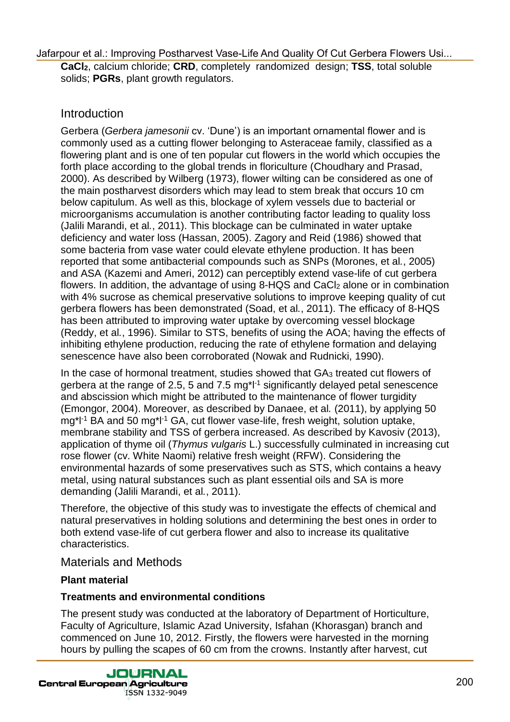**CaCl2**, calcium chloride; **CRD**, completely randomized design; **TSS**, total soluble solids; **PGRs**, plant growth regulators.

## Introduction

Gerbera (*Gerbera jamesonii* cv. 'Dune') is an important ornamental flower and is commonly used as a cutting flower belonging to Asteraceae family, classified as a flowering plant and is one of ten popular cut flowers in the world which occupies the forth place according to the global trends in floriculture (Choudhary and Prasad, 2000). As described by Wilberg (1973), flower wilting can be considered as one of the main postharvest disorders which may lead to stem break that occurs 10 cm below capitulum. As well as this, blockage of xylem vessels due to bacterial or microorganisms accumulation is another contributing factor leading to quality loss (Jalili Marandi, et al*.*, 2011). This blockage can be culminated in water uptake deficiency and water loss (Hassan, 2005). Zagory and Reid (1986) showed that some bacteria from vase water could elevate ethylene production. It has been reported that some antibacterial compounds such as SNPs (Morones, et al*.*, 2005) and ASA (Kazemi and Ameri, 2012) can perceptibly extend vase-life of cut gerbera flowers. In addition, the advantage of using 8-HQS and CaCl<sub>2</sub> alone or in combination with 4% sucrose as chemical preservative solutions to improve keeping quality of cut gerbera flowers has been demonstrated (Soad, et al*.*, 2011). The efficacy of 8-HQS has been attributed to improving water uptake by overcoming vessel blockage (Reddy, et al*.*, 1996). Similar to STS, benefits of using the AOA; having the effects of inhibiting ethylene production, reducing the rate of ethylene formation and delaying senescence have also been corroborated (Nowak and Rudnicki, 1990). Using our dating the three control of the Cut Gerbera Flowers Using the Cut Gerbera Flowers Using Cut Gerbera Flowers Using Poster is entitled to the control of Cut Gerbera Flowers (and Quality Of Cut Gerbera Flowers In th

In the case of hormonal treatment, studies showed that GA3 treated cut flowers of gerbera at the range of 2.5, 5 and 7.5 mg $^{\star}$ l<sup>-1</sup> significantly delayed petal senescence and abscission which might be attributed to the maintenance of flower turgidity (Emongor, 2004). Moreover, as described by Danaee, et al*.* (2011), by applying 50 mg<sup>\*l-1</sup> BA and 50 mg<sup>\*l-1</sup> GA, cut flower vase-life, fresh weight, solution uptake, membrane stability and TSS of gerbera increased. As described by Kavosiv (2013), application of thyme oil (*Thymus vulgaris* L.) successfully culminated in increasing cut rose flower (cv. White Naomi) relative fresh weight (RFW). Considering the environmental hazards of some preservatives such as STS, which contains a heavy metal, using natural substances such as plant essential oils and SA is more demanding (Jalili Marandi, et al*.*, 2011).

Therefore, the objective of this study was to investigate the effects of chemical and natural preservatives in holding solutions and determining the best ones in order to both extend vase-life of cut gerbera flower and also to increase its qualitative characteristics.

### Materials and Methods

#### **Plant material**

#### **Treatments and environmental conditions**

The present study was conducted at the laboratory of Department of Horticulture, Faculty of Agriculture, Islamic Azad University, Isfahan (Khorasgan) branch and commenced on June 10, 2012. Firstly, the flowers were harvested in the morning hours by pulling the scapes of 60 cm from the crowns. Instantly after harvest, cut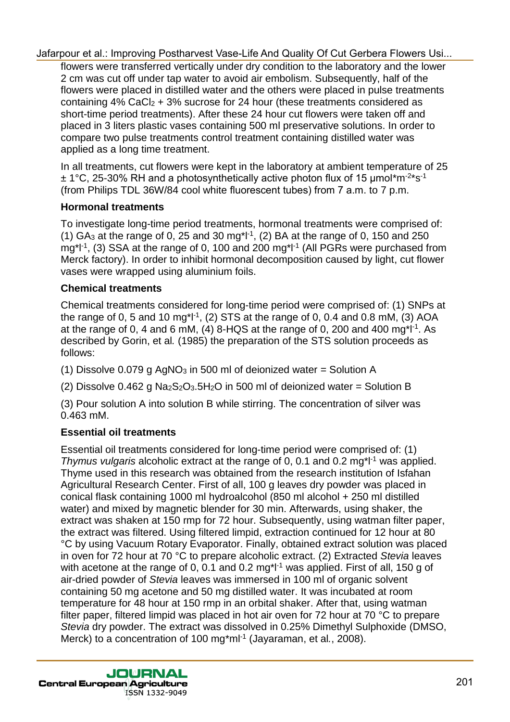flowers were transferred vertically under dry condition to the laboratory and the lower 2 cm was cut off under tap water to avoid air embolism. Subsequently, half of the flowers were placed in distilled water and the others were placed in pulse treatments containing  $4\%$  CaCl<sub>2</sub> + 3% sucrose for 24 hour (these treatments considered as short-time period treatments). After these 24 hour cut flowers were taken off and placed in 3 liters plastic vases containing 500 ml preservative solutions. In order to compare two pulse treatments control treatment containing distilled water was applied as a long time treatment.

In all treatments, cut flowers were kept in the laboratory at ambient temperature of 25  $\pm$  1°C, 25-30% RH and a photosynthetically active photon flux of 15 µmol\*m<sup>-2\*</sup>s<sup>-1</sup> (from Philips TDL 36W/84 cool white fluorescent tubes) from 7 a.m. to 7 p.m.

# **Hormonal treatments**

To investigate long-time period treatments, hormonal treatments were comprised of: (1) GA<sub>3</sub> at the range of 0, 25 and 30 mg<sup>\*</sup>l<sup>-1</sup>, (2) BA at the range of 0, 150 and 250 mg<sup>\*</sup>l<sup>-1</sup>, (3) SSA at the range of 0, 100 and 200 mg<sup>\*l-1</sup> (All PGRs were purchased from Merck factory). In order to inhibit hormonal decomposition caused by light, cut flower vases were wrapped using aluminium foils.

# **Chemical treatments**

Chemical treatments considered for long-time period were comprised of: (1) SNPs at the range of 0, 5 and 10 mg\*l<sup>-1</sup>, (2) STS at the range of 0, 0.4 and 0.8 mM, (3) AOA at the range of 0, 4 and 6 mM, (4) 8-HQS at the range of 0, 200 and 400 mg\*l<sup>-1</sup>. As described by Gorin, et al*.* (1985) the preparation of the STS solution proceeds as follows:

(1) Dissolve  $0.079$  g AgNO<sub>3</sub> in 500 ml of deionized water = Solution A

(2) Dissolve  $0.462$  g Na<sub>2</sub>S<sub>2</sub>O<sub>3</sub>.5H<sub>2</sub>O in 500 ml of deionized water = Solution B

(3) Pour solution A into solution B while stirring. The concentration of silver was 0.463 mM.

# **Essential oil treatments**

Essential oil treatments considered for long-time period were comprised of: (1) *Thymus vulgaris* alcoholic extract at the range of 0, 0.1 and 0.2 mg<sup>\*l-1</sup> was applied. Thyme used in this research was obtained from the research institution of Isfahan Agricultural Research Center. First of all, 100 g leaves dry powder was placed in conical flask containing 1000 ml hydroalcohol (850 ml alcohol + 250 ml distilled water) and mixed by magnetic blender for 30 min. Afterwards, using shaker, the extract was shaken at 150 rmp for 72 hour. Subsequently, using watman filter paper, the extract was filtered. Using filtered limpid, extraction continued for 12 hour at 80 °C by using Vacuum Rotary Evaporator. Finally, obtained extract solution was placed in oven for 72 hour at 70 °C to prepare alcoholic extract. (2) Extracted *Stevia* leaves with acetone at the range of 0, 0.1 and 0.2 mg<sup>\*l-1</sup> was applied. First of all, 150 g of air-dried powder of *Stevia* leaves was immersed in 100 ml of organic solvent containing 50 mg acetone and 50 mg distilled water. It was incubated at room temperature for 48 hour at 150 rmp in an orbital shaker. After that, using watman filter paper, filtered limpid was placed in hot air oven for 72 hour at 70 °C to prepare *Stevia* dry powder. The extract was dissolved in 0.25% Dimethyl Sulphoxide (DMSO, Merck) to a concentration of 100 mg\*ml<sup>-1</sup> (Jayaraman, et al., 2008). Using the control of the Chemical technomics (State-Life And Quality Of Cut Gerbera Flowers Using Curine and the Using Curine of the Control of the Chemical Flowers Using Postess Vase-Life And Cuality Curine (State-Life A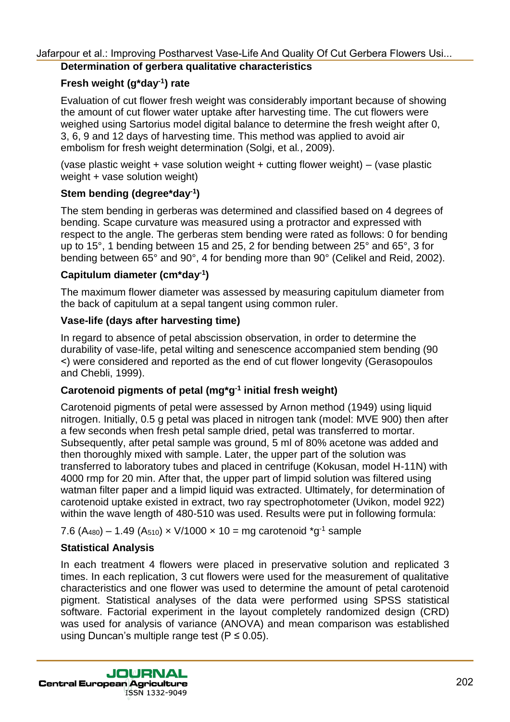#### **Determination of gerbera qualitative characteristics**

#### **Fresh weight (g\*day-1 ) rate**

Evaluation of cut flower fresh weight was considerably important because of showing the amount of cut flower water uptake after harvesting time. The cut flowers were weighed using Sartorius model digital balance to determine the fresh weight after 0, 3, 6, 9 and 12 days of harvesting time. This method was applied to avoid air embolism for fresh weight determination (Solgi, et al*.*, 2009).

(vase plastic weight + vase solution weight + cutting flower weight) – (vase plastic weight + vase solution weight)

#### **Stem bending (degree\*day-1 )**

The stem bending in gerberas was determined and classified based on 4 degrees of bending. Scape curvature was measured using a protractor and expressed with respect to the angle. The gerberas stem bending were rated as follows: 0 for bending up to 15°, 1 bending between 15 and 25, 2 for bending between 25° and 65°, 3 for bending between 65° and 90°, 4 for bending more than 90° (Celikel and Reid, 2002).

#### **Capitulum diameter (cm\*day-1 )**

The maximum flower diameter was assessed by measuring capitulum diameter from the back of capitulum at a sepal tangent using common ruler.

#### **Vase-life (days after harvesting time)**

In regard to absence of petal abscission observation, in order to determine the durability of vase-life, petal wilting and senescence accompanied stem bending (90 >) were considered and reported as the end of cut flower longevity (Gerasopoulos and Chebli, 1999).

#### **Carotenoid pigments of petal (mg\*g -1 initial fresh weight)**

Carotenoid pigments of petal were assessed by Arnon method (1949) using liquid nitrogen. Initially, 0.5 g petal was placed in nitrogen tank (model: MVE 900) then after a few seconds when fresh petal sample dried, petal was transferred to mortar. Subsequently, after petal sample was ground, 5 ml of 80% acetone was added and then thoroughly mixed with sample. Later, the upper part of the solution was transferred to laboratory tubes and placed in centrifuge (Kokusan, model H-11N) with 4000 rmp for 20 min. After that, the upper part of limpid solution was filtered using watman filter paper and a limpid liquid was extracted. Ultimately, for determination of carotenoid uptake existed in extract, two ray spectrophotometer (Uvikon, model 922) within the wave length of 480-510 was used. Results were put in following formula: Undright the state of the control of the control of the control of the control of the control of the control of the control of the control of the control of the control of the control of the control of the control of the c

7.6 (A<sub>480</sub>) – 1.49 (A<sub>510</sub>)  $\times$  V/1000  $\times$  10 = mg carotenoid  $\mathrm{^*g^{\text{-}1}}$  sample

#### **Statistical Analysis**

In each treatment 4 flowers were placed in preservative solution and replicated 3 times. In each replication, 3 cut flowers were used for the measurement of qualitative characteristics and one flower was used to determine the amount of petal carotenoid pigment. Statistical analyses of the data were performed using SPSS statistical software. Factorial experiment in the layout completely randomized design (CRD) was used for analysis of variance (ANOVA) and mean comparison was established using Duncan's multiple range test ( $P \le 0.05$ ).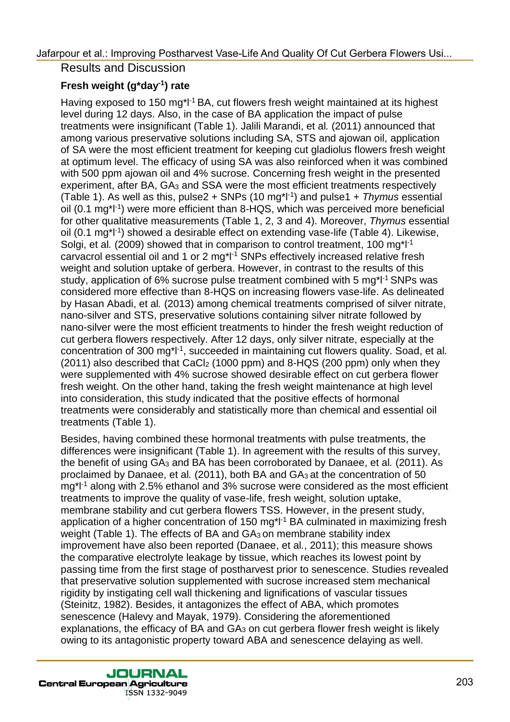Results and Discussion

# **Fresh weight (g\*day-1 ) rate**

Having exposed to 150 mg<sup>\*</sup>l<sup>-1</sup> BA, cut flowers fresh weight maintained at its highest level during 12 days. Also, in the case of BA application the impact of pulse treatments were insignificant (Table 1). Jalili Marandi, et al*.* (2011) announced that among various preservative solutions including SA, STS and ajowan oil, application of SA were the most efficient treatment for keeping cut gladiolus flowers fresh weight at optimum level. The efficacy of using SA was also reinforced when it was combined with 500 ppm ajowan oil and 4% sucrose. Concerning fresh weight in the presented experiment, after BA, GA<sub>3</sub> and SSA were the most efficient treatments respectively (Table 1). As well as this, pulse2 + SNPs (10 mg\*l-1 ) and pulse1 + *Thymus* essential oil (0.1 mg\*l<sup>-1</sup>) were more efficient than 8-HQS, which was perceived more beneficial for other qualitative measurements (Table 1, 2, 3 and 4). Moreover, *Thymus* essential oil (0.1 mg\*l<sup>-1</sup>) showed a desirable effect on extending vase-life (Table 4). Likewise, Solgi, et al. (2009) showed that in comparison to control treatment, 100 mg<sup>\*</sup>l<sup>-1</sup> carvacrol essential oil and 1 or 2 mg\*l-1 SNPs effectively increased relative fresh weight and solution uptake of gerbera. However, in contrast to the results of this study, application of 6% sucrose pulse treatment combined with 5 mg\*l<sup>-1</sup> SNPs was considered more effective than 8-HQS on increasing flowers vase-life. As delineated by Hasan Abadi, et al*.* (2013) among chemical treatments comprised of silver nitrate, nano-silver and STS, preservative solutions containing silver nitrate followed by nano-silver were the most efficient treatments to hinder the fresh weight reduction of cut gerbera flowers respectively. After 12 days, only silver nitrate, especially at the concentration of 300 mg\*l-1 , succeeded in maintaining cut flowers quality. Soad, et al*.*  $(2011)$  also described that CaCl<sub>2</sub> (1000 ppm) and 8-HQS (200 ppm) only when they were supplemented with 4% sucrose showed desirable effect on cut gerbera flower fresh weight. On the other hand, taking the fresh weight maintenance at high level into consideration, this study indicated that the positive effects of hormonal treatments were considerably and statistically more than chemical and essential oil treatments (Table 1). Using to al.: Improving Postinuoring Cality And Quality Of Cut Gerbera Flowers Usi...<br>
Fresh weldth (graty)<sup>1</sup> rate of the and Discussion<br>
Fresh weldth (graty)<sup>1</sup> rate of all And Quality Of Cut Gerbera Flowers<br>
Hewing Post

Besides, having combined these hormonal treatments with pulse treatments, the differences were insignificant (Table 1). In agreement with the results of this survey, the benefit of using GA<sup>3</sup> and BA has been corroborated by Danaee, et al*.* (2011). As proclaimed by Danaee, et al. (2011), both BA and GA<sub>3</sub> at the concentration of 50 mg\*l-1 along with 2.5% ethanol and 3% sucrose were considered as the most efficient treatments to improve the quality of vase-life, fresh weight, solution uptake, membrane stability and cut gerbera flowers TSS. However, in the present study, application of a higher concentration of 150 mg<sup>\*</sup>l<sup>-1</sup> BA culminated in maximizing fresh weight (Table 1). The effects of BA and GA<sub>3</sub> on membrane stability index improvement have also been reported (Danaee, et al*.*, 2011); this measure shows the comparative electrolyte leakage by tissue, which reaches its lowest point by passing time from the first stage of postharvest prior to senescence. Studies revealed that preservative solution supplemented with sucrose increased stem mechanical rigidity by instigating cell wall thickening and lignifications of vascular tissues (Steinitz, 1982). Besides, it antagonizes the effect of ABA, which promotes senescence (Halevy and Mayak, 1979). Considering the aforementioned explanations, the efficacy of BA and  $GA_3$  on cut gerbera flower fresh weight is likely owing to its antagonistic property toward ABA and senescence delaying as well.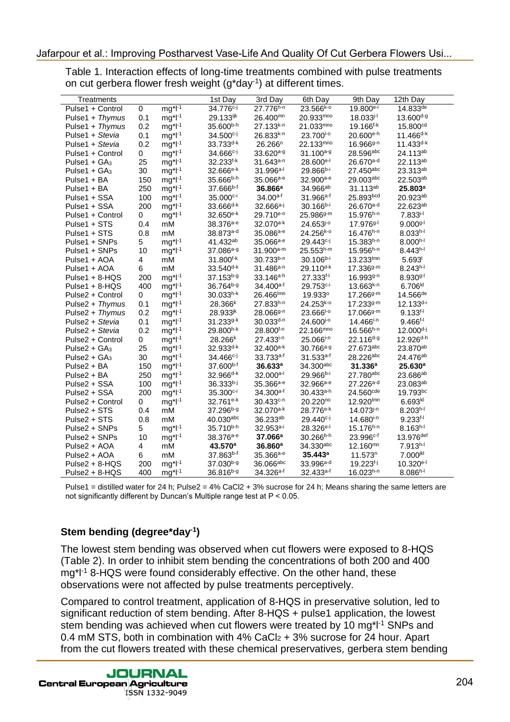| Treatments                                                                                                                                                                                                                                                                                                                                                                                                                                                                                                |            |                          | 1st Day                                 | 3rd Day                                 | 6th Day                                       | 9th Day                                                                                   | 12th Day                        |
|-----------------------------------------------------------------------------------------------------------------------------------------------------------------------------------------------------------------------------------------------------------------------------------------------------------------------------------------------------------------------------------------------------------------------------------------------------------------------------------------------------------|------------|--------------------------|-----------------------------------------|-----------------------------------------|-----------------------------------------------|-------------------------------------------------------------------------------------------|---------------------------------|
| Pulse1 + Control                                                                                                                                                                                                                                                                                                                                                                                                                                                                                          | 0          | $mg^*l^{-1}$             | 34.776 <sup>c-j</sup>                   | $27.776^{h-n}$                          | $23.566^{k-0}$                                | $19.800e-i$                                                                               | $14.833^{de}$                   |
| Pulse1 + Thymus                                                                                                                                                                                                                                                                                                                                                                                                                                                                                           | 0.1        | $mg^*l^{-1}$             | 29.133ijk                               | 26.400mm                                | 20.933mno                                     | 18.033 <sup>j-l</sup>                                                                     | 13.600 <sup>d-g</sup>           |
| Pulse1 + Thymus                                                                                                                                                                                                                                                                                                                                                                                                                                                                                           | 0.2        | $mg^*l^{-1}$             | 35.600b-h                               | $27.133^{k-n}$                          | $21.033^{mno}$                                | 19.166 <sup>f-k</sup>                                                                     | 15.800 <sup>cd</sup>            |
| Pulse1 + Stevia                                                                                                                                                                                                                                                                                                                                                                                                                                                                                           | 0.1        | $mg^*l^{-1}$             | $34.500^{c-j}$                          | $26.833^{k-n}$                          | 23.700 <sup>1-0</sup>                         | 20.600e-h                                                                                 | $11.466^{d-k}$                  |
| Pulse1 + Stevia                                                                                                                                                                                                                                                                                                                                                                                                                                                                                           | 0.2        | $mg^*l^{-1}$             | $33.733^{d-k}$                          | 26.266 <sup>n</sup>                     | 22.133mno                                     | $16.966g-n$                                                                               | $11.433^{d-k}$                  |
| Pulse1 + Control                                                                                                                                                                                                                                                                                                                                                                                                                                                                                          | 0          | $mg^*l^{-1}$             | $34.666c - j$                           | $33.620^{a-g}$                          | 31.100 <sup>a-g</sup>                         | 28.596abc                                                                                 | 24.113ab                        |
| Pulse1 + $GA_3$<br>Pulse1 + $GA_3$                                                                                                                                                                                                                                                                                                                                                                                                                                                                        | 25<br>30   | $mg*l-1$<br>$mg^*l^{-1}$ | $32.233^{f-k}$<br>$32.666e^{-k}$        | $31.643^{a-n}$<br>31.996 <sup>a-l</sup> | 28.600e-l<br>$29.866^{b-i}$                   | $26.670$ <sup>a-d</sup><br>27.450abc                                                      | 22.113ab<br>23.313ab            |
| Pulse1 + BA                                                                                                                                                                                                                                                                                                                                                                                                                                                                                               | 150        | $mg^*l^{-1}$             | $35.666^{b-h}$                          | $35.066a-e$                             | 32.900 <sup>a-e</sup>                         | 29.003abc                                                                                 | 22.503ab                        |
| Pulse1 + BA                                                                                                                                                                                                                                                                                                                                                                                                                                                                                               | 250        | $mg^*l^{-1}$             | 37.666 <sup>b-f</sup>                   | 36.866 <sup>a</sup>                     | 34.966ab                                      | 31.113ab                                                                                  | 25.803 <sup>a</sup>             |
| Pulse1 + SSA                                                                                                                                                                                                                                                                                                                                                                                                                                                                                              | 100        | $mg^*l^{-1}$             | $35.000c-i$                             | $34.00a-f$                              | $31.966^{a-f}$                                | 25.893bcd                                                                                 | 20.923ab                        |
| Pulse1 + SSA                                                                                                                                                                                                                                                                                                                                                                                                                                                                                              | 200        | $mg^*l^{-1}$             | $33.666^{d-k}$                          | $32.666a-j$                             | $30.166b-i$                                   | $26.670^{a-d}$                                                                            | 22.623ab                        |
| Pulse1 + Control                                                                                                                                                                                                                                                                                                                                                                                                                                                                                          | 0          | $mg*l-1$                 | $32.650^{e-k}$                          | 29.710 <sup>e-n</sup>                   | $25.9869 - m$                                 | $15.976^{h-n}$                                                                            | $7.833^{i-1}$                   |
| Pulse1 + STS                                                                                                                                                                                                                                                                                                                                                                                                                                                                                              | 0.4        | mM                       | $38.376a-e$                             | $32.070^{a-k}$                          | $24.653^{j\text{-}o}$                         | 17.976 <sup>g-l</sup>                                                                     | $9.000g-l$                      |
| Pulse1 + STS                                                                                                                                                                                                                                                                                                                                                                                                                                                                                              | 0.8        | mM                       | 38.873 <sup>a-d</sup>                   | $35.086a-e$                             | 24.256 <sup>k-o</sup>                         | $16.476^{h-n}$                                                                            | $8.033^{h-l}$                   |
| Pulse1 + SNPs                                                                                                                                                                                                                                                                                                                                                                                                                                                                                             | 5          | $mg*l-1$                 | 41.432 <sup>ab</sup>                    | $35.066a-e$                             | $29.443c - j$                                 | $15.383^{h-n}$                                                                            | $8.000^{h-l}$                   |
| Pulse1 + SNPs<br>Pulse1 + AOA                                                                                                                                                                                                                                                                                                                                                                                                                                                                             | 10<br>4    | $mg*l-1$<br>mM           | 37.086 <sup>a-g</sup><br>31.800f-k      | $31.900a-m$<br>$30.733^{b-n}$           | $25.553^{h-m}$<br>$30.106b-i$                 | $15.956^{h-n}$<br>$13.233^{lmn}$                                                          | $8.443^{h-l}$<br>5.693          |
| Pulse1 + AOA                                                                                                                                                                                                                                                                                                                                                                                                                                                                                              | 6          | mM                       | $33.540^{d-k}$                          | $31.486^{a-n}$                          | $29.110^{d-k}$                                | $17.3369 - m$                                                                             | $8.243^{h-l}$                   |
| Pulse1 + $8-HQS$                                                                                                                                                                                                                                                                                                                                                                                                                                                                                          | 200        | $mg^*l^{-1}$             | $37.153^{b-g}$                          | $33.146^{a-h}$                          | $27.333^{f-1}$                                | $16.9939^{n}$                                                                             | $8.930g-l$                      |
| Pulse1 + $8-HQS$                                                                                                                                                                                                                                                                                                                                                                                                                                                                                          | 400        | $mg^*l^{-1}$             | 36.764 <sup>b-g</sup>                   | $34.400a-f$                             | 29.753 <sup>c-i</sup>                         | $13.663^{k-n}$                                                                            | 6.706kl                         |
| Pulse2 + Control                                                                                                                                                                                                                                                                                                                                                                                                                                                                                          | 0          | $mg^*l^{-1}$             | $30.033^{h-k}$                          | 26.466Imn                               | 19.933°                                       | $17.2669 - m$                                                                             | 14.566 <sup>de</sup>            |
| Pulse2 + Thymus                                                                                                                                                                                                                                                                                                                                                                                                                                                                                           | 0.1        | $mg^*l^{-1}$             | $28.366^{k}$                            | $27.833^{h-n}$                          | $24.253^{k-0}$                                | $17.233^{g-m}$                                                                            | $12.133^{d-i}$                  |
| Pulse2 + Thymus                                                                                                                                                                                                                                                                                                                                                                                                                                                                                           | 0.2        | $mg^*l^{-1}$             | $28.933^{jk}$                           | $28.066$ g-n                            | 23.666 <sup>1-0</sup>                         | $17.0669 - m$                                                                             | $9.133^{f-1}$                   |
| Pulse2 + Stevia<br>Pulse2 + Stevia                                                                                                                                                                                                                                                                                                                                                                                                                                                                        | 0.1        | $mg*l-1$                 | $31.233^{9-k}$<br>29.800h-k             | $30.033^{d-n}$<br>28.800f-n             | 24.600 <sup>j-o</sup><br>22.166mno            | $14.466^{i-n}$<br>$16.566^{h-n}$                                                          | $9.466^{f-1}$<br>$12.000^{d-j}$ |
| Pulse2 + Control                                                                                                                                                                                                                                                                                                                                                                                                                                                                                          | 0.2<br>0   | $mg^*l^{-1}$<br>$mg*l-1$ | $28.266^{k}$                            | $27.433^{i-n}$                          | $25.066^{i-n}$                                | $22.116^{d-g}$                                                                            | 12.926 <sup>d-h</sup>           |
| Pulse $2 + GA_3$                                                                                                                                                                                                                                                                                                                                                                                                                                                                                          | 25         | $mg^*l^{-1}$             | $32.933^{d-k}$                          | $32.400^{a-k}$                          | $30.766a-9$                                   | 27.673abc                                                                                 | 23.870ab                        |
| Pulse $2 + GA_3$                                                                                                                                                                                                                                                                                                                                                                                                                                                                                          | 30         | $mg^*l^{-1}$             | $34.466c - j$                           | $33.733a-f$                             | $31.533a-f$                                   | 28.226abc                                                                                 | 24.476 <sup>ab</sup>            |
| Pulse2 + BA                                                                                                                                                                                                                                                                                                                                                                                                                                                                                               | 150        | $mg^*l^{-1}$             | 37.600 <sup>b-f</sup>                   | 36.633a                                 | 34.300abc                                     | 31.336a                                                                                   | 25.630a                         |
| Pulse2 + BA                                                                                                                                                                                                                                                                                                                                                                                                                                                                                               | 250        | $mg^*l^{-1}$             | $32.966^{d-k}$                          | $32.000a^{-1}$                          | 29.966 <sup>b-i</sup>                         | 27.780abc                                                                                 | 23.686ab                        |
| Pulse2 + SSA                                                                                                                                                                                                                                                                                                                                                                                                                                                                                              | 100        | $mg^*l^{-1}$             | $36.333b-j$                             | $35.366a-e$                             | 32.966 <sup>a-e</sup>                         | 27.226 <sup>a-d</sup>                                                                     | 23.083ab                        |
| Pulse2 + SSA                                                                                                                                                                                                                                                                                                                                                                                                                                                                                              | 200        | $mg^*l^{-1}$             | $35.300c-i$                             | $34.300a-f$                             | $30.433a-h$                                   | 24.560cde                                                                                 | 19.793bc                        |
| Pulse2 + Control                                                                                                                                                                                                                                                                                                                                                                                                                                                                                          | 0          | $mg^*l^{-1}$<br>mM       | $32.761^{\text{e-k}}$<br>$37.296^{b-g}$ | $30.433c-n$<br>$32.070^{a-k}$           | 20.220 <sup>no</sup><br>28.776 <sup>e-k</sup> | 12.920lmn<br>$14.073^{j-n}$                                                               | 6.693k<br>$8.203^{h-l}$         |
| Pulse2 + STS<br>Pulse2 + STS                                                                                                                                                                                                                                                                                                                                                                                                                                                                              | 0.4<br>0.8 | mM                       | $40.030$ abc                            | 36.233ab                                | $29.440c - j$                                 | $14.680i-n$                                                                               | $9.233^{f-1}$                   |
| Pulse2 + SNPs                                                                                                                                                                                                                                                                                                                                                                                                                                                                                             | 5          | $mg*$ $l-1$              | 35.710b-h                               | 32.953 <sup>a-i</sup>                   | 28.326 <sup>e-1</sup>                         | $15.176^{h-n}$                                                                            | $8.163^{h-l}$                   |
| Pulse2 + SNPs                                                                                                                                                                                                                                                                                                                                                                                                                                                                                             | 10         | $mg*l-1$                 | $38.376a-e}$                            | $37.066^a$                              | $30.266^{b-h}$                                | $23.996^{\circ +}$                                                                        | $13.976$ <sup>det</sup>         |
| Pulse2 + AOA                                                                                                                                                                                                                                                                                                                                                                                                                                                                                              | 4          | mM                       | 43.570 <sup>a</sup>                     | 36.860a                                 | 34.330abc                                     | $12.160^{mn}$                                                                             | $7.913h-1$                      |
| Pulse2 + AOA                                                                                                                                                                                                                                                                                                                                                                                                                                                                                              | 6          | mM                       | 37.863 <sup>b-f</sup>                   | $35.366a-e$                             | 35.443a                                       | 11.573 <sup>n</sup>                                                                       | 7.000jkl                        |
| $Pulse2 + 8-HQS$                                                                                                                                                                                                                                                                                                                                                                                                                                                                                          | 200        | $mg^*l^{-1}$             | $37.030^{b-g}$                          | 36.066abc                               | 33.996 <sup>a-d</sup>                         | $19.223^{f-j}$                                                                            | 10.320 <sup>e-1</sup>           |
| Pulse2 + 8-HQS                                                                                                                                                                                                                                                                                                                                                                                                                                                                                            | 400        | $mg^*l^{-1}$             | 36.816 <sup>b-g</sup>                   | $34.326$ <sup>a-f</sup>                 | $32.433a-f$                                   | $16.023^{h-n}$                                                                            | $8.086^{h-l}$                   |
| Pulse1 = distilled water for 24 h; Pulse2 = $4\%$ CaCl2 + 3% sucrose for 24 h; Means sharing the same letters are<br>not significantly different by Duncan's Multiple range test at $P < 0.05$ .<br>Stem bending (degree*day <sup>-1</sup> )<br>The lowest stem bending was observed when cut flowers were exposed to 8-HQS<br>(Table 2). In order to inhibit stem bending the concentrations of both 200 and 400<br>mg*l <sup>-1</sup> 8-HQS were found considerably effective. On the other hand, these |            |                          |                                         |                                         |                                               |                                                                                           |                                 |
| observations were not affected by pulse treatments perceptively.<br>Compared to control treatment, application of 8-HQS in preservative solution, led to<br>significant reduction of stem bending. After 8-HQS + pulse1 application, the lowest<br>stem bending was achieved when cut flowers were treated by 10 mg*l <sup>-1</sup> SNPs and                                                                                                                                                              |            |                          |                                         |                                         |                                               | 0.4 mM STS, both in combination with 4% CaCl <sub>2</sub> + 3% sucrose for 24 hour. Apart |                                 |

### **Stem bending (degree\*day-1 )**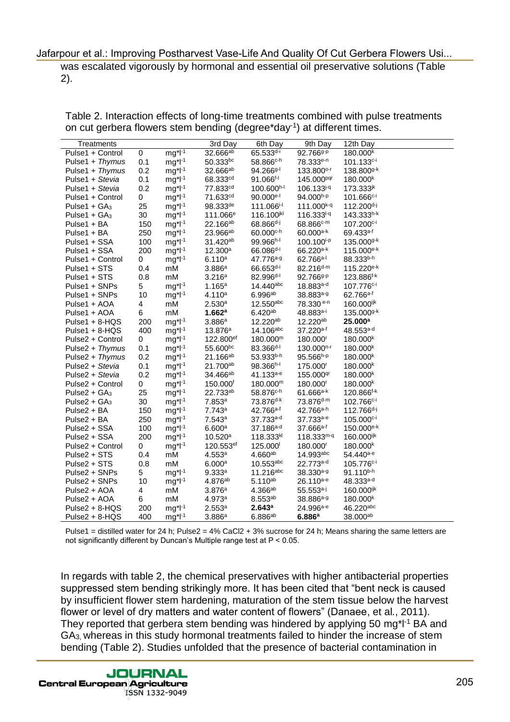| Treatments                                                               |            |                              | 3rd Day                                      | 6th Day                                        | 9th Day                                        | 12th Day                                                                                                          |
|--------------------------------------------------------------------------|------------|------------------------------|----------------------------------------------|------------------------------------------------|------------------------------------------------|-------------------------------------------------------------------------------------------------------------------|
| Pulse1 + Control                                                         | 0          | $mg^*l^{-1}$                 | 32.666ab                                     | $65.533^{d-i}$                                 | 92.766 <sup>g-p</sup>                          | 180.000 <sup>k</sup>                                                                                              |
| Pulse1 + Thymus<br>Pulse1 + Thymus                                       | 0.1<br>0.2 | $mg^*l^{-1}$                 | $50.333^{bc}$<br>32.666ab                    | $58.866c$ -h<br>$94.2669$ <sup>-1</sup>        | 78.333 <sup>e-n</sup><br>133.800°F             | $101.133c-i$<br>138.800 <sup>g-k</sup>                                                                            |
| Pulse1 + Stevia                                                          | 0.1        | $mg^*l^{-1}$<br>$mg^*l^{-1}$ | 68.333 <sup>cd</sup>                         | $91.066^{f-1}$                                 | 145.000 <sup>pqr</sup>                         | 180.000 <sup>k</sup>                                                                                              |
| Pulse1 + Stevia                                                          | 0.2        | $mg^*l^{-1}$                 | 77.833 <sup>cd</sup>                         | 100.600h-l                                     | 106.133 <sup>j-q</sup>                         | $173.333^{jk}$                                                                                                    |
| Pulse1 + Control                                                         | 0          | $mg^*l^{-1}$                 | 71.633 <sup>cd</sup>                         | $90.000$ <sup>e-l</sup>                        | $94.000^{h-p}$                                 | $101.666c-i$                                                                                                      |
| Pulse1 + $GA_3$                                                          | 25         | $mg^*l^{-1}$                 | $98.333^{de}$                                | 111.066 <sup>i-l</sup>                         | 111.000 <sup>k-q</sup>                         | $112.200^{d-j}$                                                                                                   |
| Pulse1 + $GA_3$<br>Pulse1 + BA                                           | 30<br>150  | $mg^*l^{-1}$<br>$mg^*l^{-1}$ | 111.066 <sup>e</sup><br>22.166 <sup>ab</sup> | 116.100 <sup>jkl</sup><br>$68.866^{d-j}$       | $116.333^{1-q}$<br>$68.866c - m$               | $143.333^{h-k}$<br>107.200 <sup>c-i</sup>                                                                         |
| Pulse1 + BA                                                              | 250        | $mg^*l^{-1}$                 | 23.966 <sup>ab</sup>                         | 60.000 <sup>c-h</sup>                          | $60.000a-k$                                    | $69.433a-f$                                                                                                       |
| Pulse1 + SSA                                                             | 100        | $mg*l-1$                     | 31.420 <sup>ab</sup>                         | 99.966h-l                                      | 100.100 <sup>i-p</sup>                         | 135.000g-k                                                                                                        |
| Pulse1 + SSA                                                             | 200        | $mg^*l^{-1}$                 | $12.300^a$                                   | $66.086^{d-i}$                                 | $66.220a-k$                                    | $115.000^{e-k}$                                                                                                   |
| Pulse1 + Control<br>Pulse1 + STS                                         | 0<br>0.4   | $mg^*l^{-1}$<br>mM           | 6.110a<br>3.886a                             | 47.776 <sup>a-g</sup><br>$66.653^{d-i}$        | $62.766a^{-1}$<br>$82.216^{d-m}$               | 88.333b-h<br>$115.220e^{-k}$                                                                                      |
| Pulse1 + STS                                                             | 0.8        | mM                           | 3.216 <sup>a</sup>                           | 82.996 <sup>d-l</sup>                          | 92.766 <sup>9-p</sup>                          | $123.886^{f-k}$                                                                                                   |
| Pulse1 + SNPs                                                            | 5          | $mg^*l^{-1}$                 | 1.165a                                       | 14.440abc                                      | 18.883 <sup>a-d</sup>                          | 107.776 <sup>c-i</sup>                                                                                            |
| Pulse1 + SNPs                                                            | 10         | $mg^*l^{-1}$                 | 4.110a                                       | $6.996^{ab}$                                   | 38.883 <sup>a-g</sup>                          | $62.766a-f$                                                                                                       |
| Pulse1 + AOA<br>Pulse1 + AOA                                             | 4<br>6     | mM<br>mM                     | 2.530a<br>1.662a                             | $12.550$ abc<br>6.420 <sup>ab</sup>            | 78.330 <sup>e-n</sup><br>48.883 <sup>a-i</sup> | 160.000ijk<br>135.000g-k                                                                                          |
| $Pulse1 + 8-HQS$                                                         | 200        | $mg^*l^{-1}$                 | 3.886a                                       | 12.220ab                                       | $12.220^{ab}$                                  | $25.000^a$                                                                                                        |
| Pulse1 + 8-HQS                                                           | 400        | $mg^*l^{-1}$                 | $13.876^a$                                   | 14.106abc                                      | 37.220 <sup>a-f</sup>                          | $48.553^{a-d}$                                                                                                    |
| Pulse2 + Control                                                         | 0          | $mg^*l^{-1}$                 | 122.800 <sup>ef</sup>                        | 180.000m                                       | 180.000 <sup>r</sup>                           | 180.000 <sup>k</sup>                                                                                              |
| Pulse2 + Thymus<br>Pulse2 + Thymus                                       | 0.1        | $mg^*l^{-1}$<br>$mg^*l^{-1}$ | 55.600bc<br>$21.166^{ab}$                    | 83.366 <sup>d-l</sup><br>$53.933^{b-h}$        | 130.000 <sup>n-r</sup><br>$95.566^{h-p}$       | 180.000 <sup>k</sup><br>180.000 <sup>k</sup>                                                                      |
| Pulse2 + Stevia                                                          | 0.2<br>0.1 | $mg^*l^{-1}$                 | 21.700 <sup>ab</sup>                         | $98.366^{h-1}$                                 | 175.000 <sup>r</sup>                           | 180.000 <sup>k</sup>                                                                                              |
| Pulse2 + Stevia                                                          | 0.2        | $mg^*l^{-1}$                 | 34.466 <sup>ab</sup>                         | $41.133a-e$                                    | 155.000 <sup>qr</sup>                          | 180.000 <sup>k</sup>                                                                                              |
| Pulse2 + Control                                                         | 0          | $mg^*l^{-1}$                 | 150.000 <sup>f</sup>                         | 180.000m                                       | 180.000                                        | 180.000 <sup>k</sup>                                                                                              |
| Pulse2 + $GA_3$<br>Pulse2 + $GA_3$                                       | 25<br>30   | $mg^*l^{-1}$<br>$mg^*l^{-1}$ | 22.733ab<br>7.853a                           | 58.876 <sup>c-h</sup><br>73.876 <sup>d-k</sup> | $61.666a-k$<br>73.876 <sup>d-m</sup>           | 120.866 <sup>f-k</sup><br>$102.766c-i$                                                                            |
| Pulse2 + BA                                                              | 150        | $mg^*l^{-1}$                 | 7.743a                                       | $42.766a-f$                                    | 42.766 <sup>a-h</sup>                          | $112.766^{d-j}$                                                                                                   |
| Pulse2 + BA                                                              | 250        | $mg^*l^{-1}$                 | 7.543a                                       | $37.733a-d$                                    | 37.733a-e                                      | $105.000c-i$                                                                                                      |
| Pulse2 + SSA                                                             | 100        | $mg^*l^{-1}$                 | 6.600a                                       | 37.186 <sup>a-d</sup>                          | $37.666a-f$                                    | 150.000 <sup>e-k</sup>                                                                                            |
| Pulse2 + SSA<br>Pulse2 + Control                                         | 200<br>0   | $mg^*l^{-1}$<br>$mg^*l^{-1}$ | 10.520a<br>120.553 <sup>ef</sup>             | 118.333k<br>125.000                            | $118.333m-q$<br>180.000 <sup>r</sup>           | 160.000 <sup>ijk</sup><br>180.000 <sup>k</sup>                                                                    |
| Pulse2 + STS                                                             | 0.4        | mM                           | 4.553a                                       | $4.660^{ab}$                                   | 14.993abc                                      | 54.440a-e                                                                                                         |
| Pulse2 + STS                                                             | 0.8        | mM                           | 6.000a                                       | 10.553abc                                      | $22.773^{a-d}$                                 | 105.776 <sup>c-i</sup>                                                                                            |
| Pulse2 + SNPs                                                            | 5          | $mg^*l^{-1}$                 | 9.333a                                       | $11.216$ abc                                   | 38.330 <sup>a-g</sup>                          | 91.110b-h                                                                                                         |
| Pulse2 + SNPs<br>Pulse2 + AOA                                            | 10<br>4    | $mg^*l^{-1}$<br>mM           | 4.876 <sup>ab</sup><br>3.876a                | $5.110^{ab}$<br>$4.366a^{b}$                   | $26.110^{a-e}$<br>$55.553a-j$                  | 48.333 <sup>a-d</sup><br>160.000ijk                                                                               |
| Pulse2 + AOA                                                             | 6          | mM                           | 4.973a                                       | $8.553^{ab}$                                   | 38.886 <sup>a-g</sup>                          | 180.000 <sup>k</sup>                                                                                              |
| Pulse2 + 8-HQS                                                           | 200        | $mg^*l^{-1}$                 | 2.553a                                       | 2.643 <sup>a</sup>                             | 24.996 <sup>a-e</sup>                          | 46.220abc                                                                                                         |
| $Pulse2 + 8-HQS$                                                         | 400        | $mg^*l^{-1}$                 | 3.886a                                       | $6.886^{ab}$                                   | 6.886a                                         | 38.000ab                                                                                                          |
|                                                                          |            |                              |                                              |                                                |                                                | Pulse1 = distilled water for 24 h; Pulse2 = $4\%$ CaCl2 + 3% sucrose for 24 h; Means sharing the same letters are |
| not significantly different by Duncan's Multiple range test at P < 0.05. |            |                              |                                              |                                                |                                                |                                                                                                                   |
|                                                                          |            |                              |                                              |                                                |                                                |                                                                                                                   |
|                                                                          |            |                              |                                              |                                                |                                                |                                                                                                                   |
|                                                                          |            |                              |                                              |                                                |                                                | In regards with table 2, the chemical preservatives with higher antibacterial properties                          |
|                                                                          |            |                              |                                              |                                                |                                                | suppressed stem bending strikingly more. It has been cited that "bent neck is caused                              |
|                                                                          |            |                              |                                              |                                                |                                                | by insufficient flower stem hardening, maturation of the stem tissue below the harvest                            |
|                                                                          |            |                              |                                              |                                                |                                                | flower or level of dry matters and water content of flowers" (Danaee, et al., 2011).                              |
|                                                                          |            |                              |                                              |                                                |                                                | They reported that gerbera stem bending was hindered by applying 50 mg*l <sup>-1</sup> BA and                     |
|                                                                          |            |                              |                                              |                                                |                                                | $GA3$ , whereas in this study hormonal treatments failed to hinder the increase of stem                           |
|                                                                          |            |                              |                                              |                                                |                                                |                                                                                                                   |

ISSN 1332-9049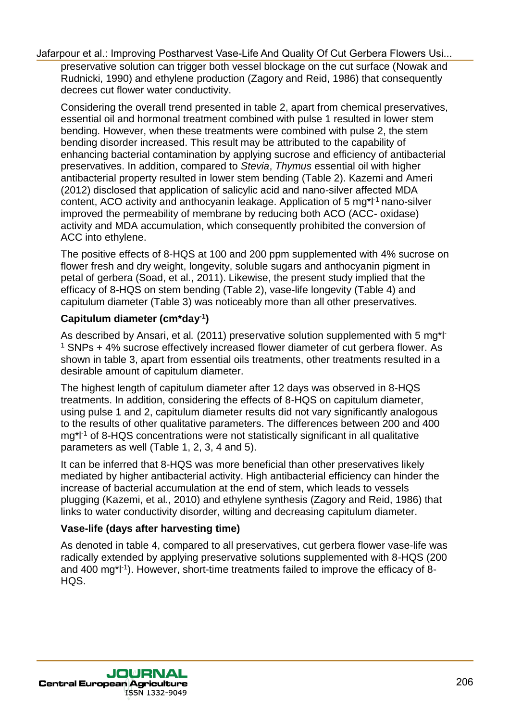preservative solution can trigger both vessel blockage on the cut surface (Nowak and Rudnicki, 1990) and ethylene production (Zagory and Reid, 1986) that consequently decrees cut flower water conductivity.

Considering the overall trend presented in table 2, apart from chemical preservatives, essential oil and hormonal treatment combined with pulse 1 resulted in lower stem bending. However, when these treatments were combined with pulse 2, the stem bending disorder increased. This result may be attributed to the capability of enhancing bacterial contamination by applying sucrose and efficiency of antibacterial preservatives. In addition, compared to *Stevia*, *Thymus* essential oil with higher antibacterial property resulted in lower stem bending (Table 2). Kazemi and Ameri (2012) disclosed that application of salicylic acid and nano-silver affected MDA content, ACO activity and anthocyanin leakage. Application of 5 mg\*l-1 nano-silver improved the permeability of membrane by reducing both ACO (ACC- oxidase) activity and MDA accumulation, which consequently prohibited the conversion of ACC into ethylene. Using the singular control of the control of the And Quality Of Cut Gerbera Flowers Using And<br>And Ray research is any involving production (Zagory and Rout, 1986) that consequently<br>consellering the wealt there is positive

The positive effects of 8-HQS at 100 and 200 ppm supplemented with 4% sucrose on flower fresh and dry weight, longevity, soluble sugars and anthocyanin pigment in petal of gerbera (Soad, et al*.*, 2011). Likewise, the present study implied that the efficacy of 8-HQS on stem bending (Table 2), vase-life longevity (Table 4) and capitulum diameter (Table 3) was noticeably more than all other preservatives.

### **Capitulum diameter (cm\*day-1 )**

As described by Ansari, et al*.* (2011) preservative solution supplemented with 5 mg\*l-<sup>1</sup> SNPs + 4% sucrose effectively increased flower diameter of cut gerbera flower. As shown in table 3, apart from essential oils treatments, other treatments resulted in a desirable amount of capitulum diameter.

The highest length of capitulum diameter after 12 days was observed in 8-HQS treatments. In addition, considering the effects of 8-HQS on capitulum diameter, using pulse 1 and 2, capitulum diameter results did not vary significantly analogous to the results of other qualitative parameters. The differences between 200 and 400 mg\*l-1 of 8-HQS concentrations were not statistically significant in all qualitative parameters as well (Table 1, 2, 3, 4 and 5).

It can be inferred that 8-HQS was more beneficial than other preservatives likely mediated by higher antibacterial activity. High antibacterial efficiency can hinder the increase of bacterial accumulation at the end of stem, which leads to vessels plugging (Kazemi, et al*.*, 2010) and ethylene synthesis (Zagory and Reid, 1986) that links to water conductivity disorder, wilting and decreasing capitulum diameter.

#### **Vase-life (days after harvesting time)**

As denoted in table 4, compared to all preservatives, cut gerbera flower vase-life was radically extended by applying preservative solutions supplemented with 8-HQS (200 and 400 mg\*l-1 ). However, short-time treatments failed to improve the efficacy of 8- HQS.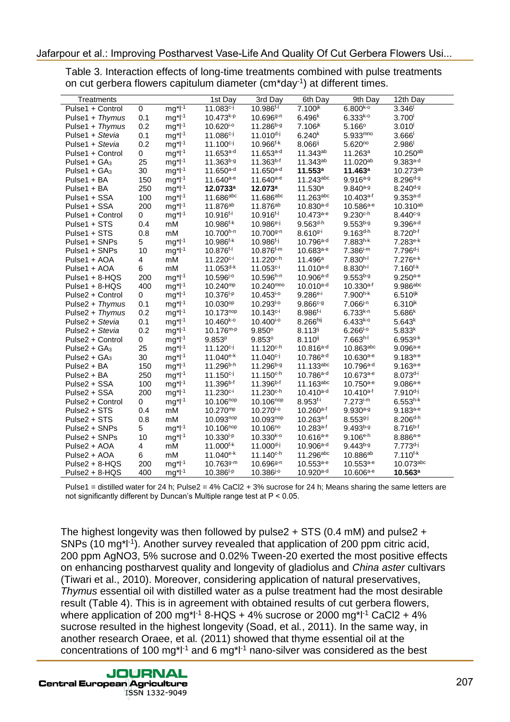| Treatments                                                                                                                                                                                                                                                                                                                                                                                                                                                                                                                                                                                                                                                                                                                                                                                                                                    |            |                              | 1st Day                                 | 3rd Day                                 | 6th Day                      | 9th Day                         | 12th Day                       |
|-----------------------------------------------------------------------------------------------------------------------------------------------------------------------------------------------------------------------------------------------------------------------------------------------------------------------------------------------------------------------------------------------------------------------------------------------------------------------------------------------------------------------------------------------------------------------------------------------------------------------------------------------------------------------------------------------------------------------------------------------------------------------------------------------------------------------------------------------|------------|------------------------------|-----------------------------------------|-----------------------------------------|------------------------------|---------------------------------|--------------------------------|
| Pulse1 + Control                                                                                                                                                                                                                                                                                                                                                                                                                                                                                                                                                                                                                                                                                                                                                                                                                              | 0          | $mg^*l^{-1}$                 | $11.083^{c-j}$                          | $10.986^{f-1}$                          | $7.100^{jk}$                 | $6.800^{k-o}$                   | 3.346                          |
| Pulse1 + Thymus                                                                                                                                                                                                                                                                                                                                                                                                                                                                                                                                                                                                                                                                                                                                                                                                                               | 0.1        | $mg^*l^{-1}$                 | $10.473^{k-p}$                          | $10.696g-n$                             | $6.496^{k}$                  | $6.333^{k-o}$                   | $3.700$ <sup>1</sup>           |
| Pulse1 + Thymus                                                                                                                                                                                                                                                                                                                                                                                                                                                                                                                                                                                                                                                                                                                                                                                                                               | 0.2        | $mg^*l^{-1}$                 | $10.620^{10}$                           | 11.286 <sup>b-g</sup>                   | $7.106^{jk}$                 | $5.166^{\circ}$                 | $3.010$ <sup>1</sup>           |
| Pulse1 + Stevia                                                                                                                                                                                                                                                                                                                                                                                                                                                                                                                                                                                                                                                                                                                                                                                                                               | 0.1        | $mg^*l^{-1}$                 | $11.086^{c-j}$                          | $11.010^{d-j}$                          | $6.240^{k}$                  | $5.933^{mno}$                   | 3.666                          |
| Pulse1 + Stevia                                                                                                                                                                                                                                                                                                                                                                                                                                                                                                                                                                                                                                                                                                                                                                                                                               | 0.2        | $mg^*l^{-1}$                 | $11.100^{c-j}$                          | $10.966^{f-k}$                          | $8.066$ <sup>ij</sup>        | $5.620^{no}$                    | 2.986                          |
| Pulse1 + Control                                                                                                                                                                                                                                                                                                                                                                                                                                                                                                                                                                                                                                                                                                                                                                                                                              | 0          | $mg^{\star}l^{\text{-}1}$    | $11.653^{a-d}$                          | 11.653a-d                               | 11.343ab                     | 11.263a                         | $10.250^{ab}$                  |
| Pulse1 + $GA_3$<br>Pulse1 + $GA_3$                                                                                                                                                                                                                                                                                                                                                                                                                                                                                                                                                                                                                                                                                                                                                                                                            | 25<br>30   | $mg^{\star}l^{\text{-}1}$    | $11.363^{b-g}$<br>11.650 <sup>a-d</sup> | $11.363^{b-f}$<br>$11.650^{a-d}$        | $11.343^{ab}$<br>11.553a     | 11.020ab<br>11.463 <sup>a</sup> | $9.383^{a-d}$<br>10.273ab      |
| Pulse1 + BA                                                                                                                                                                                                                                                                                                                                                                                                                                                                                                                                                                                                                                                                                                                                                                                                                                   | 150        | $mg^*l^{-1}$<br>$mg^*l^{-1}$ | $11.640a-e$                             | $11.640a-e$                             | $11.243$ abc                 | $9.916^{a-g}$                   | $8.296^{d-g}$                  |
| Pulse1 + BA                                                                                                                                                                                                                                                                                                                                                                                                                                                                                                                                                                                                                                                                                                                                                                                                                                   | 250        | $mg^*l^{-1}$                 | 12.0733 <sup>a</sup>                    | 12.073a                                 | 11.530 <sup>a</sup>          | $9.840^{a-g}$                   | $8.240^{d-g}$                  |
| Pulse1 + SSA                                                                                                                                                                                                                                                                                                                                                                                                                                                                                                                                                                                                                                                                                                                                                                                                                                  | 100        | $mg^*l^{-1}$                 | 11.686abc                               | 11.686abc                               | 11.263abc                    | $10.403a-f$                     | $9.353^{a-d}$                  |
| Pulse1 + SSA                                                                                                                                                                                                                                                                                                                                                                                                                                                                                                                                                                                                                                                                                                                                                                                                                                  | 200        | $mg^*l^{-1}$                 | 11.876 <sup>ab</sup>                    | 11.876 <sup>ab</sup>                    | $10.830^{a-d}$               | $10.586^{a-e}$                  | 10.310ab                       |
| Pulse1 + Control                                                                                                                                                                                                                                                                                                                                                                                                                                                                                                                                                                                                                                                                                                                                                                                                                              | 0          | $mg^*l^{-1}$                 | $10.916^{f-1}$                          | $10.916^{f-1}$                          | $10.473a-e$                  | $9.230c$ -h                     | $8.440^{c-g}$                  |
| Pulse1 + STS                                                                                                                                                                                                                                                                                                                                                                                                                                                                                                                                                                                                                                                                                                                                                                                                                                  | 0.4        | mM                           | $10.986^{f-k}$                          | $10.986e^{-j}$                          | $9.563^{d-h}$                | $9.553^{b-g}$                   | $9.396a-d$                     |
| Pulse1 + STS                                                                                                                                                                                                                                                                                                                                                                                                                                                                                                                                                                                                                                                                                                                                                                                                                                  | 0.8        | mM                           | $10.700^{h-n}$                          | 10.700g-n                               | $8.610g-i$                   | $9.163^{d-h}$                   | $8.720^{b-f}$                  |
| Pulse1 + SNPs<br>Pulse1 + SNPs                                                                                                                                                                                                                                                                                                                                                                                                                                                                                                                                                                                                                                                                                                                                                                                                                | 5          | $mg^*l^{-1}$                 | $10.986^{f-k}$<br>10.876 <sup>f-l</sup> | $10.986^{f-j}$<br>$10.876^{f-m}$        | $10.796a-d}$<br>$10.683a-e}$ | $7.883^{h-k}$<br>$7.386^{i-m}$  | 7.283e k<br>$7.796^{d-j}$      |
| Pulse1 + AOA                                                                                                                                                                                                                                                                                                                                                                                                                                                                                                                                                                                                                                                                                                                                                                                                                                  | 10<br>4    | $mg^*l^{-1}$<br>mM           | $11.220c-i$                             | 11.220 <sup>c-h</sup>                   | 11.496a                      | $7.830^{h-l}$                   | $7.276e-k$                     |
| Pulse1 + AOA                                                                                                                                                                                                                                                                                                                                                                                                                                                                                                                                                                                                                                                                                                                                                                                                                                  | 6          | mM                           | $11.053^{d-k}$                          | $11.053c-i$                             | $11.010^{a-d}$               | $8.830^{h-l}$                   | $7.160^{f-k}$                  |
| Pulse1 + $8-HQS$                                                                                                                                                                                                                                                                                                                                                                                                                                                                                                                                                                                                                                                                                                                                                                                                                              | 200        | $mg^*l^{-1}$                 | $10.596^{j-o}$                          | $10.596^{h-n}$                          | $10.906^{a-d}$               | $9.553^{b-g}$                   | $9.250^{a-e}$                  |
| Pulse1 + $8-HQS$                                                                                                                                                                                                                                                                                                                                                                                                                                                                                                                                                                                                                                                                                                                                                                                                                              | 400        | $mg^*l^{-1}$                 | $10.240^{mp}$                           | 10.240 <sup>mno</sup>                   | $10.010^{a-d}$               | $10.330a-f$                     | 9.986abc                       |
| Pulse2 + Control                                                                                                                                                                                                                                                                                                                                                                                                                                                                                                                                                                                                                                                                                                                                                                                                                              | 0          | $mg^*l^{-1}$                 | $10.376^{1-p}$                          | $10.453^{i-o}$                          | $9.286e-i$                   | 7.900h-k                        | $6.510$ ijk                    |
| Pulse2 + Thymus                                                                                                                                                                                                                                                                                                                                                                                                                                                                                                                                                                                                                                                                                                                                                                                                                               | 0.1        | $mg^{\star}l^{\text{-}1}$    | 10.030 <sup>op</sup>                    | 10.293 <sup>1-0</sup>                   | $9.866c-g$                   | $7.066^{j-n}$                   | $6.310^{jk}$                   |
| Pulse2 + Thymus                                                                                                                                                                                                                                                                                                                                                                                                                                                                                                                                                                                                                                                                                                                                                                                                                               | 0.2        | $mg^*l^{-1}$                 | $10.173^{nop}$                          | $10.143c-i$                             | $8.986^{f-i}$                | $6.733^{k-n}$                   | 5.686k                         |
| Pulse2 + Stevia<br>Pulse2 + Stevia                                                                                                                                                                                                                                                                                                                                                                                                                                                                                                                                                                                                                                                                                                                                                                                                            | 0.1<br>0.2 | $mg^*l^{-1}$                 | $10.460^{k-o}$<br>$10.176^{m-p}$        | $10.400^{i-o}$<br>9.850°                | $8.266$ hij<br>$8.113^{ij}$  | $6.433^{k-0}$<br>$6.266^{1-0}$  | $5.643^{k}$<br>5.833k          |
| Pulse2 + Control                                                                                                                                                                                                                                                                                                                                                                                                                                                                                                                                                                                                                                                                                                                                                                                                                              | 0          | $mg^*l^{-1}$<br>$mg^*l^{-1}$ | 9.853 <sup>p</sup>                      | 9.853°                                  | $8.110^{ij}$                 | $7.663h-1$                      | $6.9539-k$                     |
| Pulse2 + $GA_3$                                                                                                                                                                                                                                                                                                                                                                                                                                                                                                                                                                                                                                                                                                                                                                                                                               | 25         | $mg^*l^{-1}$                 | $11.120^{c-j}$                          | $11.120c$ <sup>-h</sup>                 | $10.816^{a-d}$               | $10.863$ abc                    | $9.096a-e$                     |
| Pulse $2 + GA_3$                                                                                                                                                                                                                                                                                                                                                                                                                                                                                                                                                                                                                                                                                                                                                                                                                              | 30         | $mg^*l^{-1}$                 | $11.040^{e-k}$                          | $11.040c-i$                             | $10.786a-d$                  | $10.630a-e$                     | $9.183^{a-e}$                  |
| Pulse2 + BA                                                                                                                                                                                                                                                                                                                                                                                                                                                                                                                                                                                                                                                                                                                                                                                                                                   | 150        | $mg^*l^{-1}$                 | $11.296^{b-h}$                          | $11.296^{b-g}$                          | 11.133abc                    | $10.796a-d}$                    | $9.163^{a-e}$                  |
| Pulse2 + BA                                                                                                                                                                                                                                                                                                                                                                                                                                                                                                                                                                                                                                                                                                                                                                                                                                   | 250        | $mg^*l^{-1}$                 | $11.150^{c-j}$                          | $11.150^{c-h}$                          | $10.786^{a-d}$               | $10.673a-e$                     | $8.073^{d-i}$                  |
| Pulse2 + SSA                                                                                                                                                                                                                                                                                                                                                                                                                                                                                                                                                                                                                                                                                                                                                                                                                                  | 100        | $mg^*l^{-1}$                 | 11.396 <sup>b-f</sup>                   | $11.396^{b-f}$                          | $11.163$ abc                 | 10.750 <sup>a-e</sup>           | $9.086a-e$                     |
| Pulse2 + SSA                                                                                                                                                                                                                                                                                                                                                                                                                                                                                                                                                                                                                                                                                                                                                                                                                                  | 200        | $mg^{\star}l^{\text{-}1}$    | $11.230c-i$                             | $11.230c$ -h                            | $10.410^{a-d}$               | $10.410^{a-f}$                  | $7.910^{d-j}$                  |
| Pulse2 + Control<br>Pulse2 + STS                                                                                                                                                                                                                                                                                                                                                                                                                                                                                                                                                                                                                                                                                                                                                                                                              | 0<br>0.4   | $mg^*l^{-1}$<br>mM           | 10.106 <sup>nop</sup><br>$10.270^{mp}$  | 10.106 <sup>nop</sup><br>$10.270^{1-0}$ | $8.953^{f-i}$<br>$10.260a-f$ | $7.273^{i-m}$<br>$9.930a-g$     | $6.553^{h-k}$<br>$9.183^{a-e}$ |
| Pulse2 + STS                                                                                                                                                                                                                                                                                                                                                                                                                                                                                                                                                                                                                                                                                                                                                                                                                                  | 0.8        | mM                           | $10.093^{nop}$                          | 10.093nop                               | $10.263$ <sup>a-f</sup>      | $8.5539 - j$                    | $8.206^{d-h}$                  |
| Pulse2 + SNPs                                                                                                                                                                                                                                                                                                                                                                                                                                                                                                                                                                                                                                                                                                                                                                                                                                 | 5          | $mg^*l^{-1}$                 | 10.106 <sup>nop</sup>                   | 10.106 <sup>no</sup>                    | $10.283a-f$                  | $9.493^{b-g}$                   | $8.716^{b-f}$                  |
| Pulse2 + SNPs                                                                                                                                                                                                                                                                                                                                                                                                                                                                                                                                                                                                                                                                                                                                                                                                                                 | 10         | $mg^*l^{-1}$                 | $10.330^{1-p}$                          | $10.330^{k-0}$                          | $10.616a-e$                  | $9.106^{e-h}$                   | $8.886a-e$                     |
| Pulse2 + AOA                                                                                                                                                                                                                                                                                                                                                                                                                                                                                                                                                                                                                                                                                                                                                                                                                                  | 4          | mM                           | $11.000^{f-k}$                          | $11.000^{d-j}$                          | $10.906$ <sup>a-d</sup>      | $9.443^{b-g}$                   | $7.773^{d-j}$                  |
| Pulse2 + AOA                                                                                                                                                                                                                                                                                                                                                                                                                                                                                                                                                                                                                                                                                                                                                                                                                                  | 6          | mM                           | $11.040e-k$                             | $11.140c$ -h                            | 11.296abc                    | 10.886 <sup>ab</sup>            | $7.110^{f-k}$                  |
| $Pulse2 + 8-HQS$                                                                                                                                                                                                                                                                                                                                                                                                                                                                                                                                                                                                                                                                                                                                                                                                                              | 200        | $mg^*l^{-1}$                 | $10.763^{g-m}$                          | $10.6969^{n}$                           | $10.553a-e$                  | $10.553a-e$                     | 10.073abc                      |
| Pulse2 + 8-HQS                                                                                                                                                                                                                                                                                                                                                                                                                                                                                                                                                                                                                                                                                                                                                                                                                                | 400        | $mg*1-1$                     | $10.386^{1-p}$                          | 10.386 <sup>j-o</sup>                   | $10.920a-d}$                 | $10.606a-e$                     | $10.563^a$                     |
| not significantly different by Duncan's Multiple range test at P < 0.05.<br>The highest longevity was then followed by pulse $2 + STS$ (0.4 mM) and pulse $2 + STS$<br>SNPs (10 mg <sup>* -1</sup> ). Another survey revealed that application of 200 ppm citric acid,<br>200 ppm AgNO3, 5% sucrose and 0.02% Tween-20 exerted the most positive effects<br>on enhancing postharvest quality and longevity of gladiolus and China aster cultivars<br>(Tiwari et al., 2010). Moreover, considering application of natural preservatives,<br>Thymus essential oil with distilled water as a pulse treatment had the most desirable<br>result (Table 4). This is in agreement with obtained results of cut gerbera flowers,<br>where application of 200 mg <sup>*</sup> l <sup>-1</sup> 8-HQS + 4% sucrose or 2000 mg <sup>*l-1</sup> CaCl2 + 4% |            |                              |                                         |                                         |                              |                                 |                                |
| sucrose resulted in the highest longevity (Soad, et al., 2011). In the same way, in<br>another research Oraee, et al. (2011) showed that thyme essential oil at the<br>concentrations of 100 mg <sup>*<math>1</math>-1</sup> and 6 mg <sup>*<math>1</math>-1</sup> nano-silver was considered as the best                                                                                                                                                                                                                                                                                                                                                                                                                                                                                                                                     |            |                              |                                         |                                         |                              |                                 |                                |

ISSN 1332-9049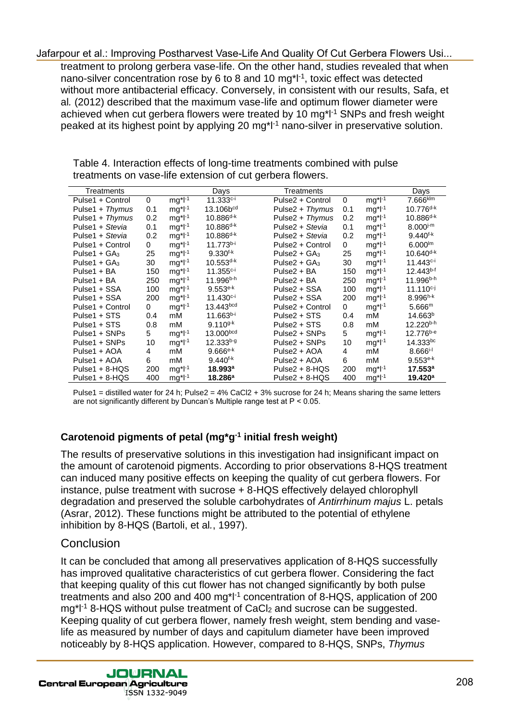|                                                       |              |              |                       | Jafarpour et al.: Improving Postharvest Vase-Life And Quality Of Cut Gerbera Flowers Usi<br>treatment to prolong gerbera vase-life. On the other hand, studies revealed that when<br>nano-silver concentration rose by 6 to 8 and 10 mg <sup>*1-1</sup> , toxic effect was detected<br>without more antibacterial efficacy. Conversely, in consistent with our results, Safa, et<br>al. (2012) described that the maximum vase-life and optimum flower diameter were                                                                                                                                                                                                                                                         |              |              |                        |
|-------------------------------------------------------|--------------|--------------|-----------------------|------------------------------------------------------------------------------------------------------------------------------------------------------------------------------------------------------------------------------------------------------------------------------------------------------------------------------------------------------------------------------------------------------------------------------------------------------------------------------------------------------------------------------------------------------------------------------------------------------------------------------------------------------------------------------------------------------------------------------|--------------|--------------|------------------------|
|                                                       |              |              |                       | achieved when cut gerbera flowers were treated by 10 mg <sup>*</sup> l <sup>-1</sup> SNPs and fresh weight                                                                                                                                                                                                                                                                                                                                                                                                                                                                                                                                                                                                                   |              |              |                        |
|                                                       |              |              |                       | peaked at its highest point by applying 20 mg <sup>* -1</sup> nano-silver in preservative solution.                                                                                                                                                                                                                                                                                                                                                                                                                                                                                                                                                                                                                          |              |              |                        |
|                                                       |              |              |                       |                                                                                                                                                                                                                                                                                                                                                                                                                                                                                                                                                                                                                                                                                                                              |              |              |                        |
|                                                       |              |              |                       |                                                                                                                                                                                                                                                                                                                                                                                                                                                                                                                                                                                                                                                                                                                              |              |              |                        |
|                                                       |              |              |                       |                                                                                                                                                                                                                                                                                                                                                                                                                                                                                                                                                                                                                                                                                                                              |              |              |                        |
|                                                       |              |              |                       | Table 4. Interaction effects of long-time treatments combined with pulse                                                                                                                                                                                                                                                                                                                                                                                                                                                                                                                                                                                                                                                     |              |              |                        |
|                                                       |              |              |                       | treatments on vase-life extension of cut gerbera flowers.                                                                                                                                                                                                                                                                                                                                                                                                                                                                                                                                                                                                                                                                    |              |              |                        |
| Treatments                                            |              |              | Days                  | Treatments                                                                                                                                                                                                                                                                                                                                                                                                                                                                                                                                                                                                                                                                                                                   |              |              | Days                   |
| Pulse1 + Control                                      | $\mathbf 0$  | $mg^*l^{-1}$ | $11.333c-i$           | Pulse2 + Control                                                                                                                                                                                                                                                                                                                                                                                                                                                                                                                                                                                                                                                                                                             | $\mathsf{O}$ | $mg^*l^{-1}$ | $7.666$ <sub>klm</sub> |
| Pulse1 + Thymus                                       | 0.1          | $mg^*l^{-1}$ | 13.106bcd             | Pulse2 + Thymus                                                                                                                                                                                                                                                                                                                                                                                                                                                                                                                                                                                                                                                                                                              | 0.1          | $mg^*l^{-1}$ | $10.776^{d-k}$         |
| Pulse1 + Thymus                                       | 0.2          | $mg^*l^{-1}$ | $10.886^{d-k}$        | Pulse2 + Thymus                                                                                                                                                                                                                                                                                                                                                                                                                                                                                                                                                                                                                                                                                                              | 0.2          | $mg^*l^{-1}$ | $10.886^{d-k}$         |
| Pulse1 + Stevia                                       | 0.1          | $mg^*l^{-1}$ | $10.886^{d-k}$        | Pulse2 + Stevia                                                                                                                                                                                                                                                                                                                                                                                                                                                                                                                                                                                                                                                                                                              | 0.1          | $mg^*l^{-1}$ | $8.000^{j-m}$          |
| Pulse1 + Stevia                                       | 0.2          | $mg*l-1$     | 10.886 <sup>d-k</sup> | Pulse2 + Stevia                                                                                                                                                                                                                                                                                                                                                                                                                                                                                                                                                                                                                                                                                                              | 0.2          | $mg^*l^{-1}$ | $9.440^{f-k}$          |
| Pulse1 + Control                                      | $\mathbf{0}$ | $mg^*l^{-1}$ | $11.773^{b-i}$        | Pulse2 + Control                                                                                                                                                                                                                                                                                                                                                                                                                                                                                                                                                                                                                                                                                                             | 0            | $mg^*l^{-1}$ | $6.000^{lm}$           |
| Pulse1 + $GA_3$                                       | 25           | $mg^*l^{-1}$ | $9.330^{f-k}$         | Pulse2 + $GA_3$                                                                                                                                                                                                                                                                                                                                                                                                                                                                                                                                                                                                                                                                                                              | 25           | $mg^*l^{-1}$ | $10.640^{d-k}$         |
| Pulse1 + $GA_3$                                       | 30           | $mg^*l^{-1}$ | $10.553^{d-k}$        | Pulse2 + $GA_3$                                                                                                                                                                                                                                                                                                                                                                                                                                                                                                                                                                                                                                                                                                              | 30           | $mg^*l^{-1}$ | $11.443c-i$            |
| Pulse1 + BA                                           | 150          | $mg^*l^{-1}$ | 11.355 <sup>c-i</sup> | Pulse2 + BA                                                                                                                                                                                                                                                                                                                                                                                                                                                                                                                                                                                                                                                                                                                  | 150          | $mg^*l^{-1}$ | $12.443^{b-f}$         |
| Pulse1 + BA                                           | 250          | $mg^*l^{-1}$ | 11.996 <sup>b-h</sup> | Pulse2 + BA                                                                                                                                                                                                                                                                                                                                                                                                                                                                                                                                                                                                                                                                                                                  | 250          | $mg^*l^{-1}$ | 11.996 <sup>b-h</sup>  |
| Pulse1 + SSA                                          | 100          | $mg^*l^{-1}$ | $9.553e-k$            | Pulse2 + SSA                                                                                                                                                                                                                                                                                                                                                                                                                                                                                                                                                                                                                                                                                                                 | 100          | $mg^*l^{-1}$ | $11.110^{c-j}$         |
| Pulse1 + SSA                                          | 200          | $mg^*l^{-1}$ | 11.430 <sup>c-i</sup> | Pulse2 + SSA                                                                                                                                                                                                                                                                                                                                                                                                                                                                                                                                                                                                                                                                                                                 | 200          | $mg^*l^{-1}$ | $8.996^{h-k}$          |
| Pulse1 + Control                                      | $\mathbf{0}$ | $mg^*l^{-1}$ | 13.443bcd             | Pulse2 + Control                                                                                                                                                                                                                                                                                                                                                                                                                                                                                                                                                                                                                                                                                                             | $\mathbf{0}$ | $mg^*l^{-1}$ | 5.666 <sup>m</sup>     |
| Pulse1 + STS                                          | 0.4          | mM           | $11.663b-i$           | Pulse2 + STS                                                                                                                                                                                                                                                                                                                                                                                                                                                                                                                                                                                                                                                                                                                 | 0.4          | mM           | 14.663 <sup>b</sup>    |
| Pulse1 + STS                                          | 0.8          | mM           | $9.110^{g-k}$         | Pulse2 + STS                                                                                                                                                                                                                                                                                                                                                                                                                                                                                                                                                                                                                                                                                                                 | 0.8          | mM           | 12.220b-h              |
| Pulse1 + SNPs                                         | 5            | $mg^*l^{-1}$ | 13.000bcd             | Pulse2 + SNPs                                                                                                                                                                                                                                                                                                                                                                                                                                                                                                                                                                                                                                                                                                                | 5            | $mg^*l^{-1}$ | 12.776b-e              |
| Pulse1 + SNPs                                         | 10           | $mg^*l^{-1}$ | 12.333b-g             | Pulse2 + SNPs                                                                                                                                                                                                                                                                                                                                                                                                                                                                                                                                                                                                                                                                                                                | 10           | $mg^*l^{-1}$ | 14.333bc               |
| Pulse1 + AOA                                          | 4            | mM           | $9.666e-k$            | Pulse2 + AOA                                                                                                                                                                                                                                                                                                                                                                                                                                                                                                                                                                                                                                                                                                                 | 4            | mM           | $8.666^{i-1}$          |
| Pulse1 + AOA                                          | 6            | mM           | $9.440^{f-k}$         | Pulse2 + AOA                                                                                                                                                                                                                                                                                                                                                                                                                                                                                                                                                                                                                                                                                                                 | 6            | mM           | $9.553e-k$             |
| Pulse1 + 8-HQS                                        | 200          | $mg^*l^{-1}$ | 18.993 <sup>a</sup>   | $Pulse2 + 8-HQS$                                                                                                                                                                                                                                                                                                                                                                                                                                                                                                                                                                                                                                                                                                             | 200          | $mg*l-1$     | 17.553 <sup>a</sup>    |
| Pulse1 + 8-HQS                                        | 400          | $mg^*l^{-1}$ | 18.286 <sup>a</sup>   | Pulse2 + 8-HQS                                                                                                                                                                                                                                                                                                                                                                                                                                                                                                                                                                                                                                                                                                               | 400          | $mg^*l^{-1}$ | 19.420 <sup>a</sup>    |
| inhibition by 8-HQS (Bartoli, et al., 1997).          |              |              |                       | Carotenoid pigments of petal (mg*g <sup>-1</sup> initial fresh weight)<br>The results of preservative solutions in this investigation had insignificant impact on<br>the amount of carotenoid pigments. According to prior observations 8-HQS treatment<br>can induced many positive effects on keeping the quality of cut gerbera flowers. For<br>instance, pulse treatment with sucrose + 8-HQS effectively delayed chlorophyll<br>degradation and preserved the soluble carbohydrates of Antirrhinum majus L. petals<br>(Asrar, 2012). These functions might be attributed to the potential of ethylene                                                                                                                   |              |              |                        |
| Conclusion                                            |              |              |                       |                                                                                                                                                                                                                                                                                                                                                                                                                                                                                                                                                                                                                                                                                                                              |              |              |                        |
|                                                       |              |              |                       | It can be concluded that among all preservatives application of 8-HQS successfully<br>has improved qualitative characteristics of cut gerbera flower. Considering the fact<br>that keeping quality of this cut flower has not changed significantly by both pulse<br>treatments and also 200 and 400 mg <sup>*1-1</sup> concentration of 8-HQS, application of 200<br>mg <sup>*1-1</sup> 8-HQS without pulse treatment of CaCl <sub>2</sub> and sucrose can be suggested.<br>Keeping quality of cut gerbera flower, namely fresh weight, stem bending and vase-<br>life as measured by number of days and capitulum diameter have been improved<br>noticeably by 8-HQS application. However, compared to 8-HQS, SNPs, Thymus |              |              |                        |
| <b>JOURNAL</b><br><b>Central European Agriculture</b> |              |              |                       |                                                                                                                                                                                                                                                                                                                                                                                                                                                                                                                                                                                                                                                                                                                              |              |              |                        |

#### **Carotenoid pigments of petal (mg\*g -1 initial fresh weight)**

#### **Conclusion**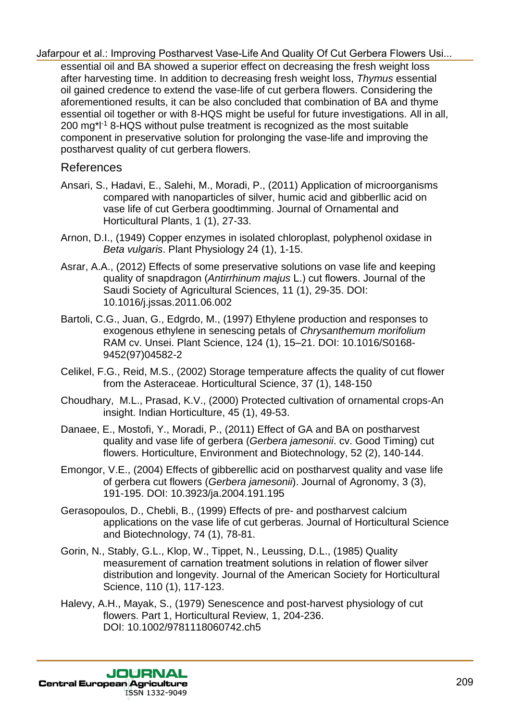essential oil and BA showed a superior effect on decreasing the fresh weight loss after harvesting time. In addition to decreasing fresh weight loss, *Thymus* essential oil gained credence to extend the vase-life of cut gerbera flowers. Considering the aforementioned results, it can be also concluded that combination of BA and thyme essential oil together or with 8-HQS might be useful for future investigations. All in all, 200 mg\*l-1 8-HQS without pulse treatment is recognized as the most suitable component in preservative solution for prolonging the vase-life and improving the postharvest quality of cut gerbera flowers. diarpour dial: The content is exampled to the Cut Gerbera Flowers Using the fresh weight loss<br>
and the moved by the most vasce intervention of the content of the content of the content of the content of the content of the

# References

- Ansari, S., Hadavi, E., Salehi, M., Moradi, P., (2011) Application of microorganisms compared with nanoparticles of silver, humic acid and gibberllic acid on vase life of cut Gerbera goodtimming. Journal of Ornamental and Horticultural Plants, 1 (1), 27-33.
- Arnon, D.I., (1949) Copper enzymes in isolated chloroplast, polyphenol oxidase in *Beta vulgaris*. Plant Physiology 24 (1), 1-15.
- Asrar, A.A., (2012) Effects of some preservative solutions on vase life and keeping quality of snapdragon (*Antirrhinum majus* L.) cut flowers. Journal of the Saudi Society of Agricultural Sciences, 11 (1), 29-35. DOI: 10.1016/j.jssas.2011.06.002
- Bartoli, C.G., Juan, G., Edgrdo, M., (1997) Ethylene production and responses to exogenous ethylene in senescing petals of *Chrysanthemum morifolium* RAM cv. Unsei. Plant Science, 124 (1), 15–21. DOI: 10.1016/S0168- 9452(97)04582-2
- Celikel, F.G., Reid, M.S., (2002) Storage temperature affects the quality of cut flower from the Asteraceae. Horticultural Science, 37 (1), 148-150
- Choudhary, M.L., Prasad, K.V., (2000) Protected cultivation of ornamental crops-An insight. Indian Horticulture, 45 (1), 49-53.
- Danaee, E., Mostofi, Y., Moradi, P., (2011) Effect of GA and BA on postharvest quality and vase life of gerbera (*Gerbera jamesonii*. cv. Good Timing) cut flowers. Horticulture, Environment and Biotechnology, 52 (2), 140-144.
- Emongor, V.E., (2004) Effects of gibberellic acid on postharvest quality and vase life of gerbera cut flowers (*Gerbera jamesonii*). Journal of Agronomy, 3 (3), 191-195. DOI: 10.3923/ja.2004.191.195
- Gerasopoulos, D., Chebli, B., (1999) Effects of pre- and postharvest calcium applications on the vase life of cut gerberas. Journal of Horticultural Science and Biotechnology, 74 (1), 78-81.
- Gorin, N., Stably, G.L., Klop, W., Tippet, N., Leussing, D.L., (1985) Quality measurement of carnation treatment solutions in relation of flower silver distribution and longevity. Journal of the American Society for Horticultural Science, 110 (1), 117-123.
- Halevy, A.H., Mayak, S., (1979) Senescence and post-harvest physiology of cut flowers. Part 1, Horticultural Review, 1, 204-236. DOI: 10.1002/9781118060742.ch5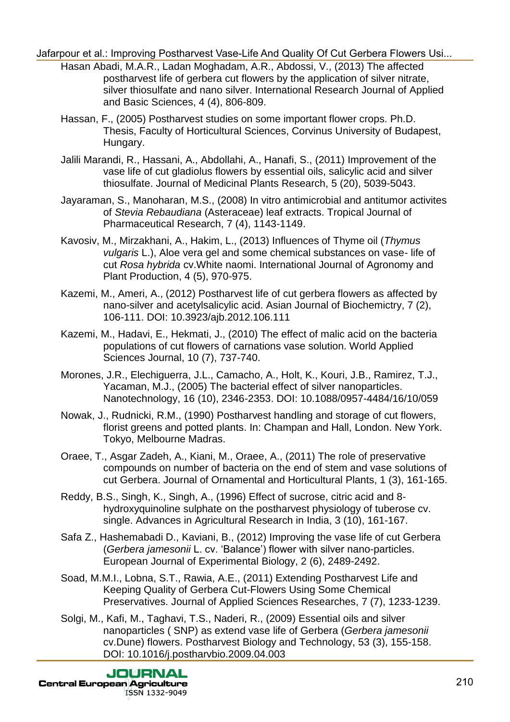- Hasan Abadi, M.A.R., Ladan Moghadam, A.R., Abdossi, V., (2013) The affected postharvest life of gerbera cut flowers by the application of silver nitrate, silver thiosulfate and nano silver. International Research Journal of Applied and Basic Sciences, 4 (4), 806-809. diarpour et al.: Improving Postharvest Vase-Life And Quality Of Cut Gerbera Flowers Interactions of the position of the position of the position of the position of the position of the position of the position of the conten
	- Hassan, F., (2005) Postharvest studies on some important flower crops. Ph.D. Thesis, Faculty of Horticultural Sciences, Corvinus University of Budapest, Hungary.
	- Jalili Marandi, R., Hassani, A., Abdollahi, A., Hanafi, S., (2011) Improvement of the vase life of cut gladiolus flowers by essential oils, salicylic acid and silver thiosulfate. Journal of Medicinal Plants Research, 5 (20), 5039-5043.
	- Jayaraman, S., Manoharan, M.S., (2008) In vitro antimicrobial and antitumor activites of *Stevia Rebaudiana* (Asteraceae) leaf extracts. Tropical Journal of Pharmaceutical Research, 7 (4), 1143-1149.
	- Kavosiv, M., Mirzakhani, A., Hakim, L., (2013) Influences of Thyme oil (*Thymus vulgaris* L.), Aloe vera gel and some chemical substances on vase- life of cut *Rosa hybrida* cv.White naomi. International Journal of Agronomy and Plant Production, 4 (5), 970-975.
	- Kazemi, M., Ameri, A., (2012) Postharvest life of cut gerbera flowers as affected by nano-silver and acetylsalicylic acid. Asian Journal of Biochemictry, 7 (2), 106-111. DOI: 10.3923/ajb.2012.106.111
	- Kazemi, M., Hadavi, E., Hekmati, J., (2010) The effect of malic acid on the bacteria populations of cut flowers of carnations vase solution. World Applied Sciences Journal, 10 (7), 737-740.
	- Morones, J.R., Elechiguerra, J.L., Camacho, A., Holt, K., Kouri, J.B., Ramirez, T.J., Yacaman, M.J., (2005) The bacterial effect of silver nanoparticles. Nanotechnology, 16 (10), 2346-2353. DOI: 10.1088/0957-4484/16/10/059
	- Nowak, J., Rudnicki, R.M., (1990) Postharvest handling and storage of cut flowers, florist greens and potted plants. In: Champan and Hall, London. New York. Tokyo, Melbourne Madras.
	- Oraee, T., Asgar Zadeh, A., Kiani, M., Oraee, A., (2011) The role of preservative compounds on number of bacteria on the end of stem and vase solutions of cut Gerbera. Journal of Ornamental and Horticultural Plants, 1 (3), 161-165.
	- Reddy, B.S., Singh, K., Singh, A., (1996) Effect of sucrose, citric acid and 8 hydroxyquinoline sulphate on the postharvest physiology of tuberose cv. single. Advances in Agricultural Research in India, 3 (10), 161-167.
	- Safa Z., Hashemabadi D., Kaviani, B., (2012) Improving the vase life of cut Gerbera (*Gerbera jamesonii* L. cv. 'Balance') flower with silver nano-particles. European Journal of Experimental Biology, 2 (6), 2489-2492.
	- Soad, M.M.I., Lobna, S.T., Rawia, A.E., (2011) Extending Postharvest Life and Keeping Quality of Gerbera Cut-Flowers Using Some Chemical Preservatives. Journal of Applied Sciences Researches, 7 (7), 1233-1239.
	- Solgi, M., Kafi, M., Taghavi, T.S., Naderi, R., (2009) Essential oils and silver nanoparticles ( SNP) as extend vase life of Gerbera (*Gerbera jamesonii* cv.Dune) flowers. Postharvest Biology and Technology, 53 (3), 155-158. DOI: 10.1016/j.postharvbio.2009.04.003